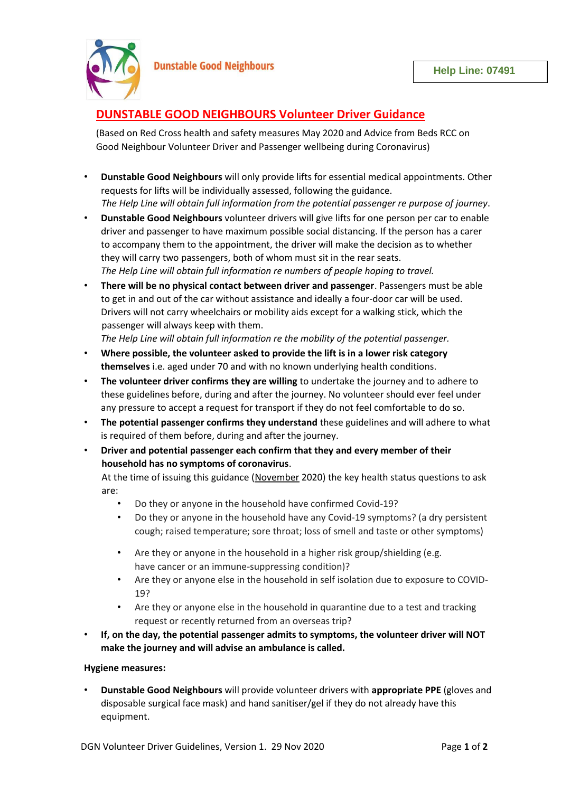

# **DUNSTABLE GOOD NEIGHBOURS Volunteer Driver Guidance**

(Based on Red Cross health and safety measures May 2020 and Advice from Beds RCC on Good Neighbour Volunteer Driver and Passenger wellbeing during Coronavirus)

- **Dunstable Good Neighbours** will only provide lifts for essential medical appointments. Other requests for lifts will be individually assessed, following the guidance. *The Help Line will obtain full information from the potential passenger re purpose of journey*.
- **Dunstable Good Neighbours** volunteer drivers will give lifts for one person per car to enable driver and passenger to have maximum possible social distancing. If the person has a carer to accompany them to the appointment, the driver will make the decision as to whether they will carry two passengers, both of whom must sit in the rear seats. *The Help Line will obtain full information re numbers of people hoping to travel.*
- **There will be no physical contact between driver and passenger**. Passengers must be able to get in and out of the car without assistance and ideally a four-door car will be used. Drivers will not carry wheelchairs or mobility aids except for a walking stick, which the passenger will always keep with them.

*The Help Line will obtain full information re the mobility of the potential passenger.* 

- **Where possible, the volunteer asked to provide the lift is in a lower risk category themselves** i.e. aged under 70 and with no known underlying health conditions.
- **The volunteer driver confirms they are willing** to undertake the journey and to adhere to these guidelines before, during and after the journey. No volunteer should ever feel under any pressure to accept a request for transport if they do not feel comfortable to do so.
- **The potential passenger confirms they understand** these guidelines and will adhere to what is required of them before, during and after the journey.
- **Driver and potential passenger each confirm that they and every member of their household has no symptoms of coronavirus**.

At the time of issuing this guidance (November 2020) the key health status questions to ask are:

- Do they or anyone in the household have confirmed Covid-19?
- Do they or anyone in the household have any Covid-19 symptoms? (a dry persistent cough; raised temperature; sore throat; loss of smell and taste or other symptoms)
- Are they or anyone in the household in a higher risk group/shielding (e.g. have cancer or an immune-suppressing condition)?
- Are they or anyone else in the household in self isolation due to exposure to COVID-19?
- Are they or anyone else in the household in quarantine due to a test and tracking request or recently returned from an overseas trip?
- **If, on the day, the potential passenger admits to symptoms, the volunteer driver will NOT make the journey and will advise an ambulance is called.**

# **Hygiene measures:**

• **Dunstable Good Neighbours** will provide volunteer drivers with **appropriate PPE** (gloves and disposable surgical face mask) and hand sanitiser/gel if they do not already have this equipment.